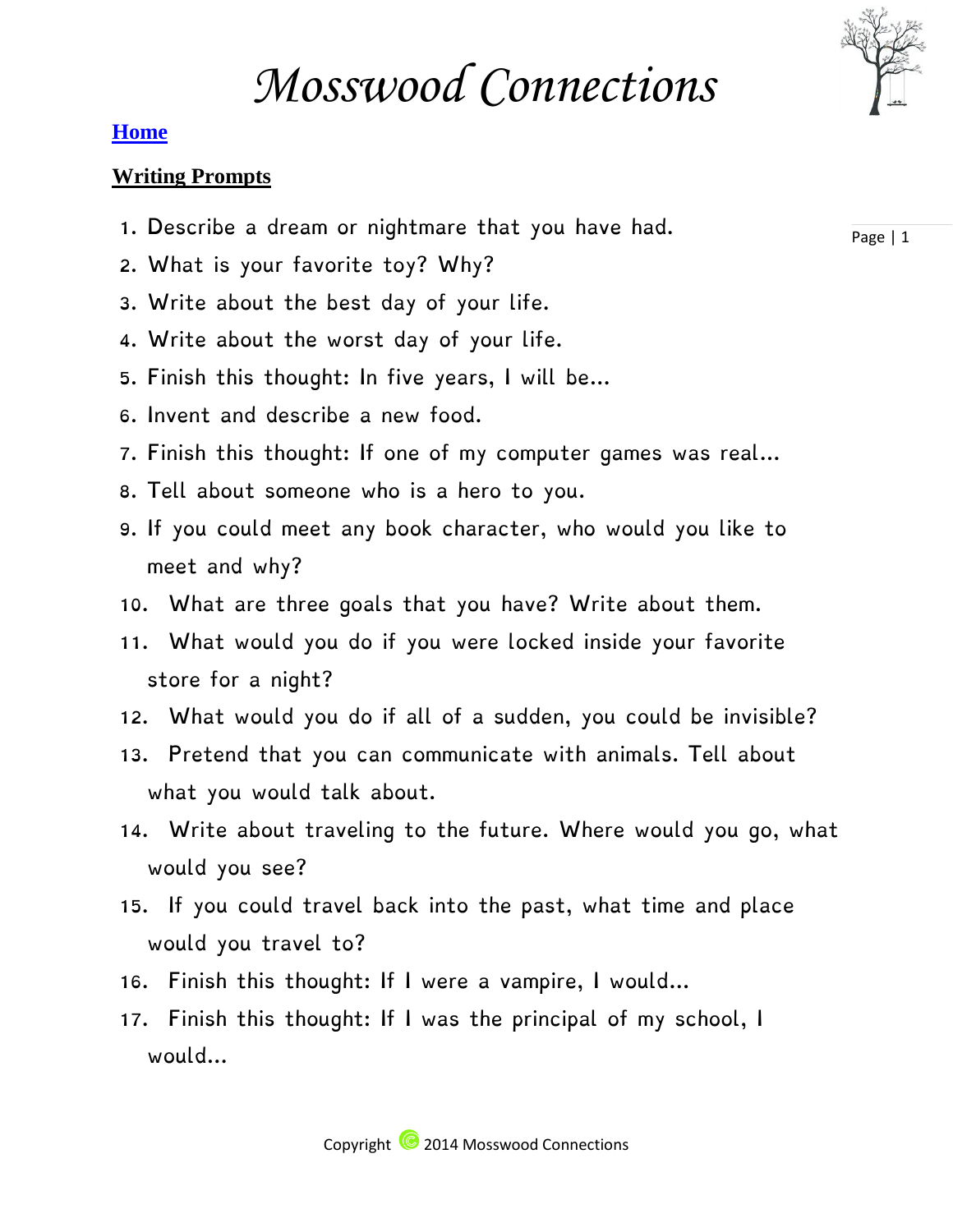

### **[Home](http://mosswoodconnections.com/)**

### **Writing Prompts**

- 1. Describe a dream or nightmare that you have had.
- 2. What is your favorite toy? Why?
- 3. Write about the best day of your life.
- 4. Write about the worst day of your life.
- 5. Finish this thought: In five years, I will be…
- 6. Invent and describe a new food.
- 7. Finish this thought: If one of my computer games was real…
- 8. Tell about someone who is a hero to you.
- 9. If you could meet any book character, who would you like to meet and why?
- 10. What are three goals that you have? Write about them.
- 11. What would you do if you were locked inside your favorite store for a night?
- 12. What would you do if all of a sudden, you could be invisible?
- 13. Pretend that you can communicate with animals. Tell about what you would talk about.
- 14. Write about traveling to the future. Where would you go, what would you see?
- 15. If you could travel back into the past, what time and place would you travel to?
- 16. Finish this thought: If I were a vampire, I would…
- 17. Finish this thought: If I was the principal of my school, I would…

Page | 1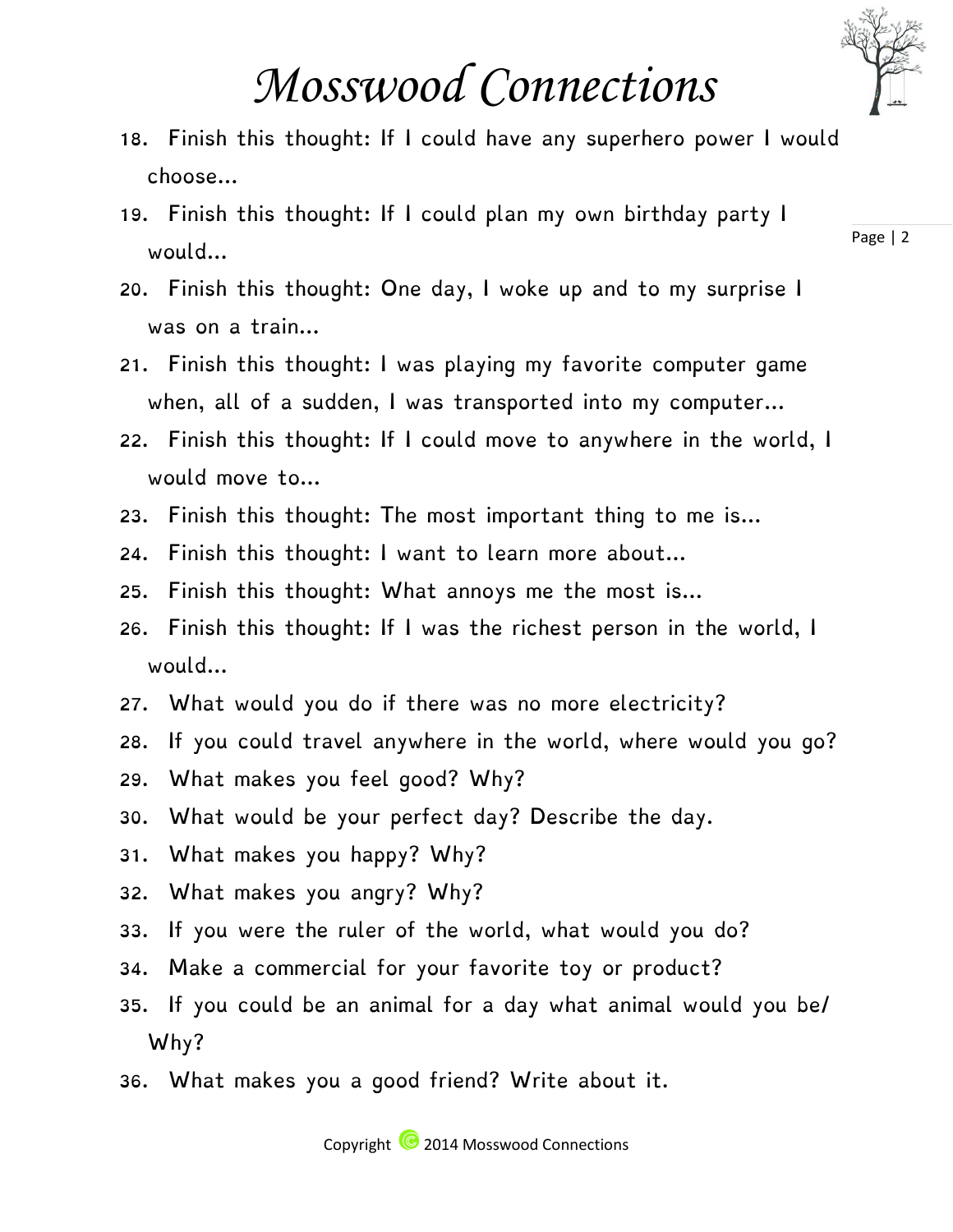

## *Mosswood Connections*

- 18. Finish this thought: If I could have any superhero power I would choose…
- 19. Finish this thought: If I could plan my own birthday party I would…
- 20. Finish this thought: One day, I woke up and to my surprise I was on a train…
- 21. Finish this thought: I was playing my favorite computer game when, all of a sudden, I was transported into my computer…
- 22. Finish this thought: If I could move to anywhere in the world, I would move to…
- 23. Finish this thought: The most important thing to me is…
- 24. Finish this thought: I want to learn more about…
- 25. Finish this thought: What annoys me the most is…
- 26. Finish this thought: If I was the richest person in the world, I would…
- 27. What would you do if there was no more electricity?
- 28. If you could travel anywhere in the world, where would you go?
- 29. What makes you feel good? Why?
- 30. What would be your perfect day? Describe the day.
- 31. What makes you happy? Why?
- 32. What makes you angry? Why?
- 33. If you were the ruler of the world, what would you do?
- 34. Make a commercial for your favorite toy or product?
- 35. If you could be an animal for a day what animal would you be/ Why?
- 36. What makes you a good friend? Write about it.

Page | 2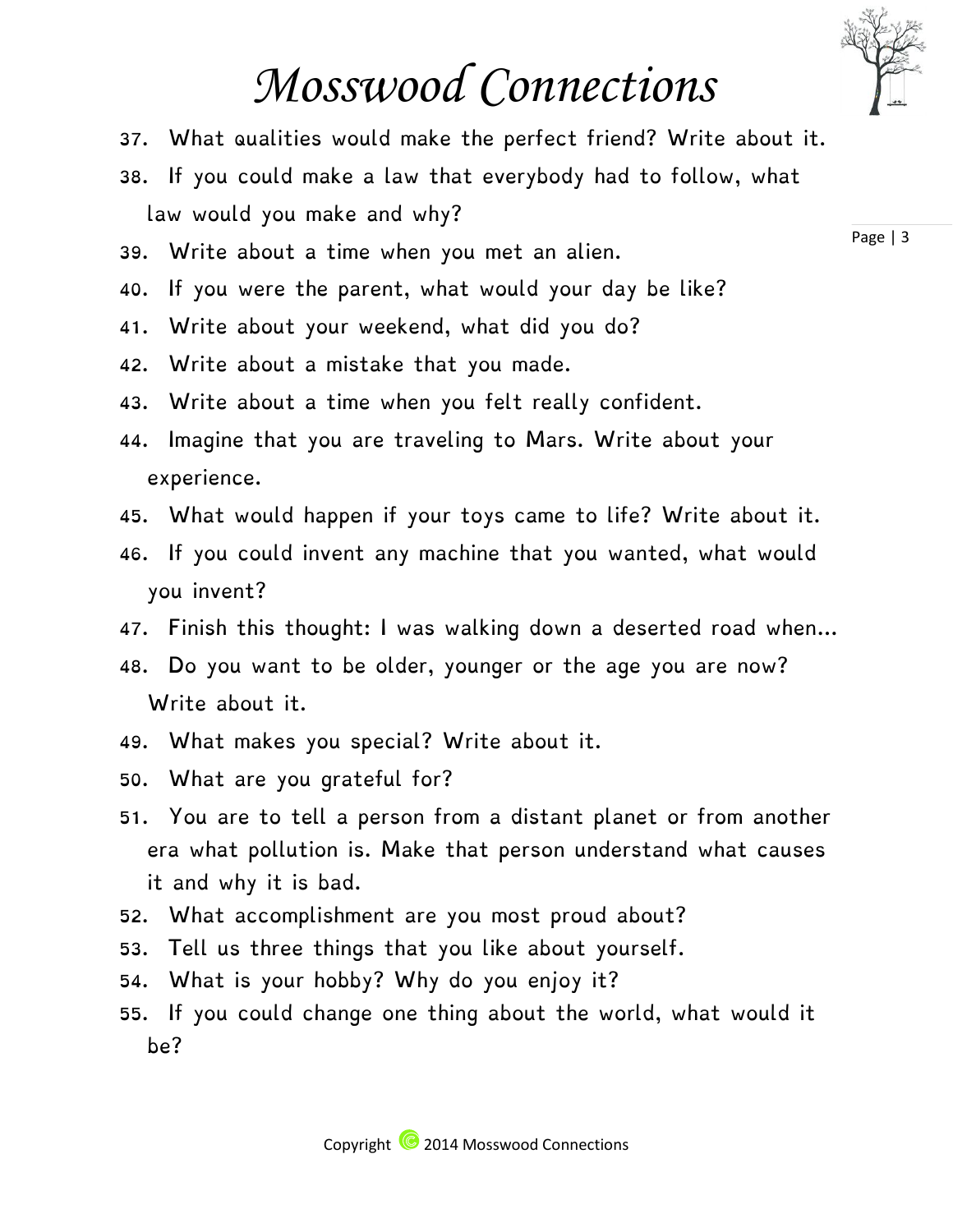### *Mosswood Connections*

- 37. What qualities would make the perfect friend? Write about it.
- 38. If you could make a law that everybody had to follow, what law would you make and why?
- 39. Write about a time when you met an alien.
- 40. If you were the parent, what would your day be like?
- 41. Write about your weekend, what did you do?
- 42. Write about a mistake that you made.
- 43. Write about a time when you felt really confident.
- 44. Imagine that you are traveling to Mars. Write about your experience.
- 45. What would happen if your toys came to life? Write about it.
- 46. If you could invent any machine that you wanted, what would you invent?
- 47. Finish this thought: I was walking down a deserted road when…
- 48. Do you want to be older, younger or the age you are now? Write about it.
- 49. What makes you special? Write about it.
- 50. What are you grateful for?
- 51. You are to tell a person from a distant planet or from another era what pollution is. Make that person understand what causes it and why it is bad.
- 52. What accomplishment are you most proud about?
- 53. Tell us three things that you like about yourself.
- 54. What is your hobby? Why do you enjoy it?
- 55. If you could change one thing about the world, what would it be?

Page | 3